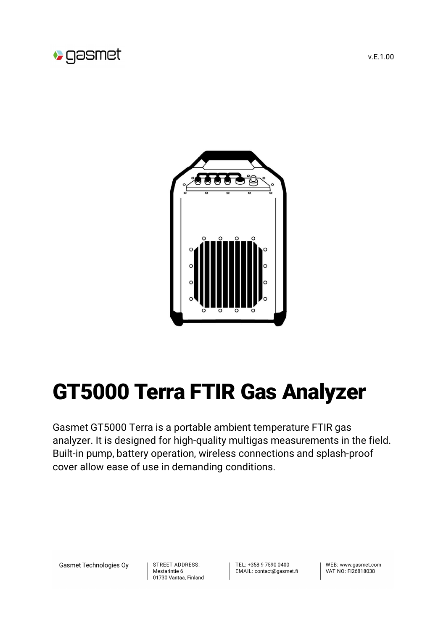



## GT5000 Terra FTIR Gas Analyzer

Gasmet GT5000 Terra is a portable ambient temperature FTIR gas analyzer. It is designed for high-quality multigas measurements in the field. Built-in pump, battery operation, wireless connections and splash-proof cover allow ease of use in demanding conditions.

Gasmet Technologies Oy

STREET ADDRESS: Mestarintie 6 01730 Vantaa, Finland TFL: +358 9 7590 0400 EMAIL: contact@gasmet.fi

WFB: www.gasmet.com VAT NO: FI26818038